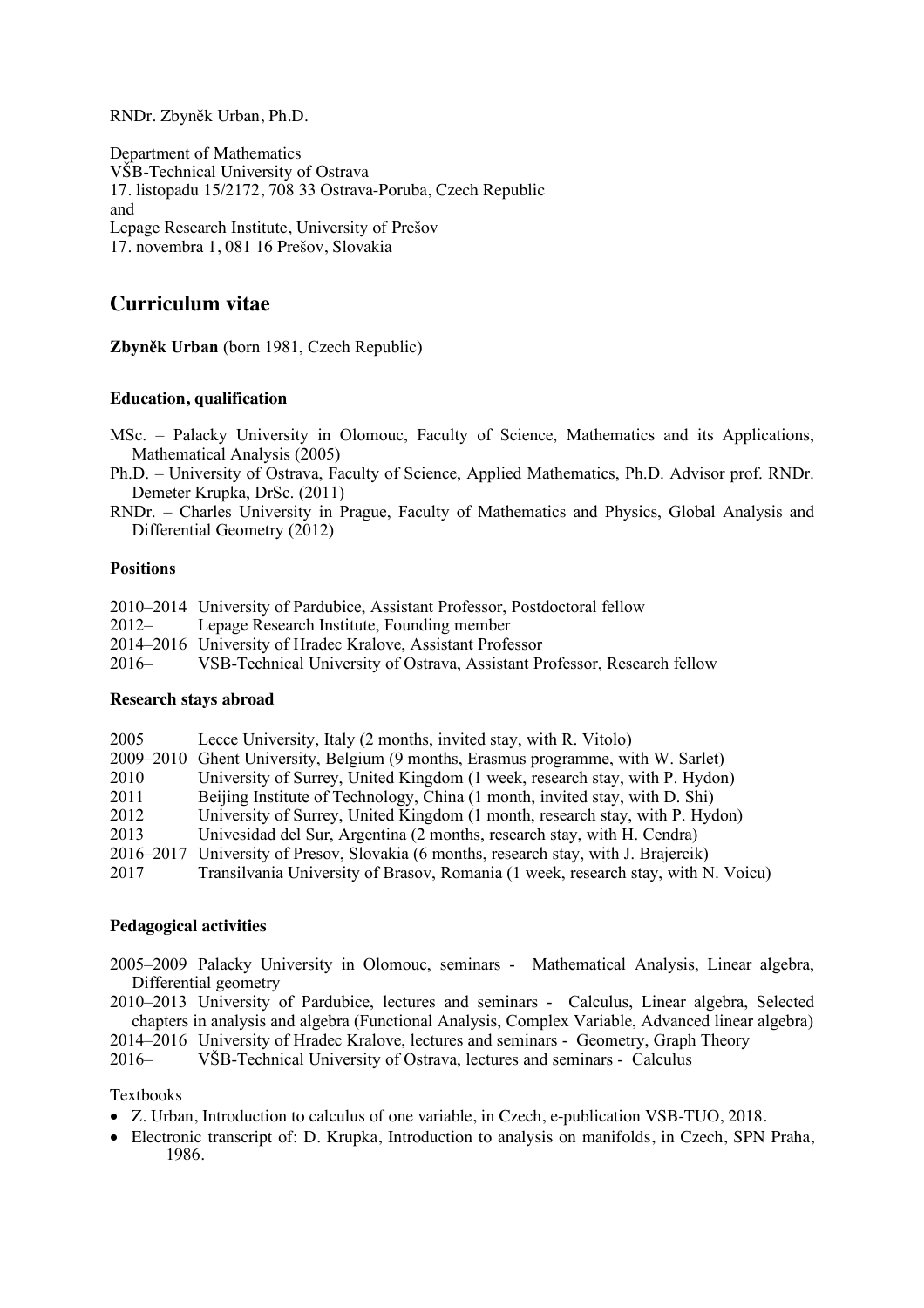RNDr. Zbyněk Urban, Ph.D.

Department of Mathematics VŠB-Technical University of Ostrava 17. listopadu 15/2172, 708 33 Ostrava-Poruba, Czech Republic and Lepage Research Institute, University of Prešov 17. novembra 1, 081 16 Prešov, Slovakia

# **Curriculum vitae**

**Zbyněk Urban** (born 1981, Czech Republic)

# **Education, qualification**

- MSc. Palacky University in Olomouc, Faculty of Science, Mathematics and its Applications, Mathematical Analysis (2005)
- Ph.D. University of Ostrava, Faculty of Science, Applied Mathematics, Ph.D. Advisor prof. RNDr. Demeter Krupka, DrSc. (2011)
- RNDr. Charles University in Prague, Faculty of Mathematics and Physics, Global Analysis and Differential Geometry (2012)

### **Positions**

|          | 2010–2014 University of Pardubice, Assistant Professor, Postdoctoral fellow |
|----------|-----------------------------------------------------------------------------|
| $2012 -$ | Lepage Research Institute, Founding member                                  |
|          | 2014–2016 University of Hradec Kralove, Assistant Professor                 |
| $2016-$  | VSB-Technical University of Ostrava, Assistant Professor, Research fellow   |
|          |                                                                             |

### **Research stays abroad**

| 2005      | Lecce University, Italy (2 months, invited stay, with R. Vitolo)                  |
|-----------|-----------------------------------------------------------------------------------|
|           | 2009–2010 Ghent University, Belgium (9 months, Erasmus programme, with W. Sarlet) |
| 2010      | University of Surrey, United Kingdom (1 week, research stay, with P. Hydon)       |
| 2011      | Beijing Institute of Technology, China (1 month, invited stay, with D. Shi)       |
| 2012      | University of Surrey, United Kingdom (1 month, research stay, with P. Hydon)      |
| 2013      | Univesidad del Sur, Argentina (2 months, research stay, with H. Cendra)           |
| 2016–2017 | University of Presov, Slovakia (6 months, research stay, with J. Brajercik)       |
| 2017      | Transilvania University of Brasov, Romania (1 week, research stay, with N. Voicu) |

# **Pedagogical activities**

- 2005–2009 Palacky University in Olomouc, seminars Mathematical Analysis, Linear algebra, Differential geometry
- 2010–2013 University of Pardubice, lectures and seminars Calculus, Linear algebra, Selected chapters in analysis and algebra (Functional Analysis, Complex Variable, Advanced linear algebra)

2014–2016 University of Hradec Kralove, lectures and seminars - Geometry, Graph Theory

2016– VŠB-Technical University of Ostrava, lectures and seminars - Calculus

# Textbooks

- Z. Urban, Introduction to calculus of one variable, in Czech, e-publication VSB-TUO, 2018.
- Electronic transcript of: D. Krupka, Introduction to analysis on manifolds, in Czech, SPN Praha, 1986.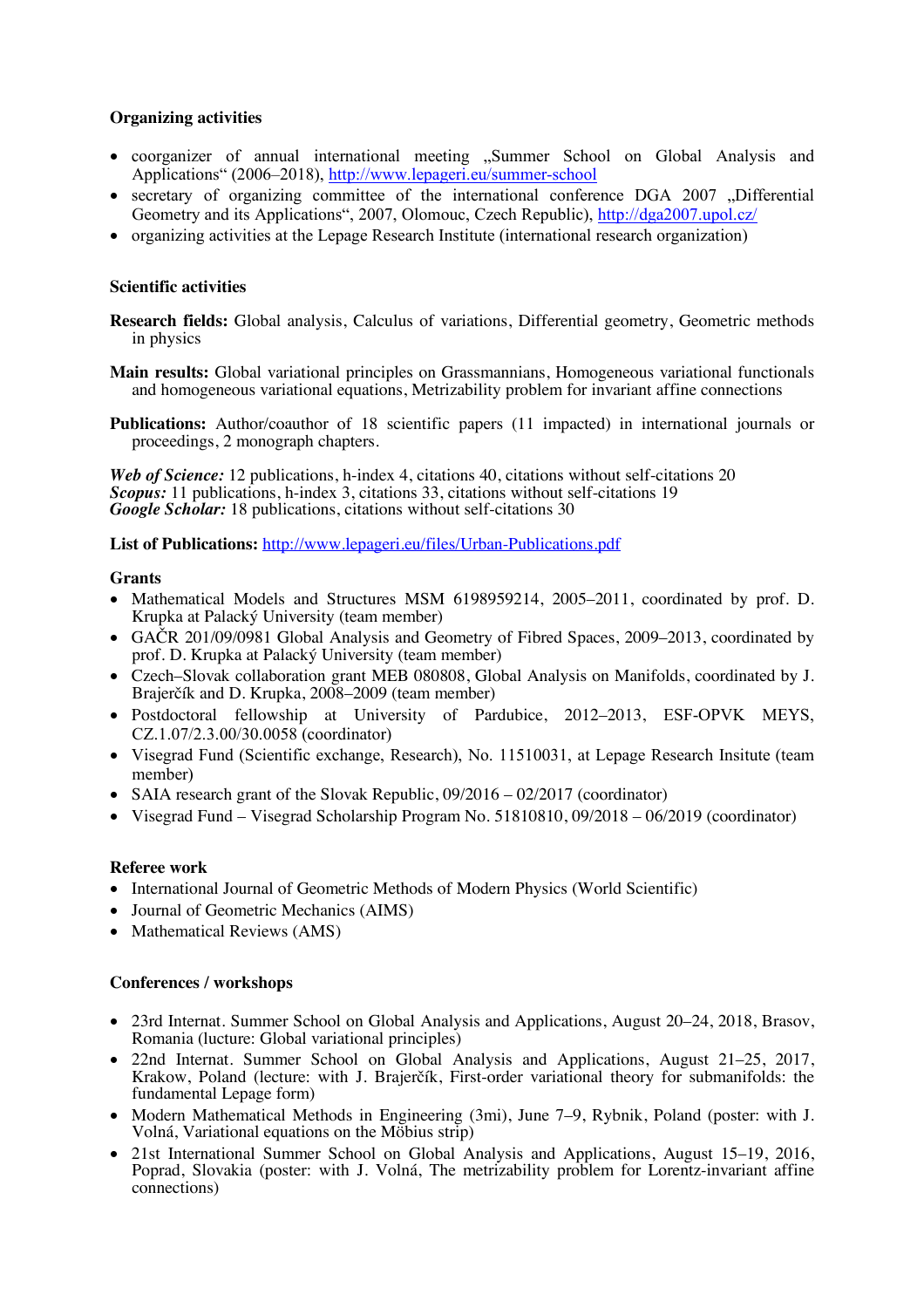# **Organizing activities**

- coorganizer of annual international meeting "Summer School on Global Analysis and Applications" (2006–2018), http://www.lepageri.eu/summer-school
- secretary of organizing committee of the international conference DGA 2007 "Differential Geometry and its Applications", 2007, Olomouc, Czech Republic), http://dga2007.upol.cz/
- organizing activities at the Lepage Research Institute (international research organization)

### **Scientific activities**

- **Research fields:** Global analysis, Calculus of variations, Differential geometry, Geometric methods in physics
- **Main results:** Global variational principles on Grassmannians, Homogeneous variational functionals and homogeneous variational equations, Metrizability problem for invariant affine connections
- **Publications:** Author/coauthor of 18 scientific papers (11 impacted) in international journals or proceedings, 2 monograph chapters.

*Web of Science:* 12 publications, h-index 4, citations 40, citations without self-citations 20 *Scopus:* 11 publications, h-index 3, citations 33, citations without self-citations 19 *Google Scholar:* 18 publications, citations without self-citations 30

**List of Publications:** http://www.lepageri.eu/files/Urban-Publications.pdf

### **Grants**

- Mathematical Models and Structures MSM 6198959214, 2005–2011, coordinated by prof. D. Krupka at Palacký University (team member)
- GAČR 201/09/0981 Global Analysis and Geometry of Fibred Spaces, 2009–2013, coordinated by prof. D. Krupka at Palacký University (team member)
- Czech–Slovak collaboration grant MEB 080808, Global Analysis on Manifolds, coordinated by J. Brajerčík and D. Krupka, 2008–2009 (team member)
- Postdoctoral fellowship at University of Pardubice, 2012–2013, ESF-OPVK MEYS, CZ.1.07/2.3.00/30.0058 (coordinator)
- Visegrad Fund (Scientific exchange, Research), No. 11510031, at Lepage Research Insitute (team member)
- SAIA research grant of the Slovak Republic, 09/2016 02/2017 (coordinator)
- Visegrad Fund Visegrad Scholarship Program No. 51810810, 09/2018 06/2019 (coordinator)

# **Referee work**

- International Journal of Geometric Methods of Modern Physics (World Scientific)
- Journal of Geometric Mechanics (AIMS)
- Mathematical Reviews (AMS)

### **Conferences / workshops**

- 23rd Internat. Summer School on Global Analysis and Applications, August 20–24, 2018, Brasov, Romania (lucture: Global variational principles)
- 22nd Internat. Summer School on Global Analysis and Applications, August 21–25, 2017, Krakow, Poland (lecture: with J. Brajerčík, First-order variational theory for submanifolds: the fundamental Lepage form)
- Modern Mathematical Methods in Engineering (3mi), June 7–9, Rybnik, Poland (poster: with J. Volná, Variational equations on the Möbius strip)
- 21st International Summer School on Global Analysis and Applications, August 15–19, 2016, Poprad, Slovakia (poster: with J. Volná, The metrizability problem for Lorentz-invariant affine connections)